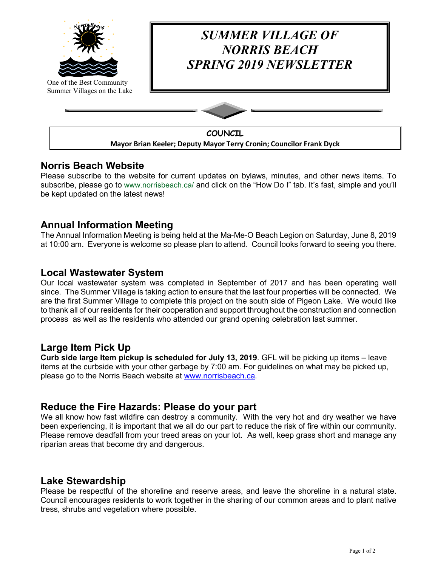

### **Norris Beach Website**

Please subscribe to the website for current updates on bylaws, minutes, and other news items. To subscribe, please go to www.norrisbeach.ca/ and click on the "How Do I" tab. It's fast, simple and you'll be kept updated on the latest news!

# **Annual Information Meeting**

The Annual Information Meeting is being held at the Ma-Me-O Beach Legion on Saturday, June 8, 2019 at 10:00 am. Everyone is welcome so please plan to attend. Council looks forward to seeing you there.

### **Local Wastewater System**

Our local wastewater system was completed in September of 2017 and has been operating well since. The Summer Village is taking action to ensure that the last four properties will be connected. We are the first Summer Village to complete this project on the south side of Pigeon Lake. We would like to thank all of our residents for their cooperation and support throughout the construction and connection process as well as the residents who attended our grand opening celebration last summer.

### **Large Item Pick Up**

**Curb side large Item pickup is scheduled for July 13, 2019**. GFL will be picking up items – leave items at the curbside with your other garbage by 7:00 am. For guidelines on what may be picked up, please go to the Norris Beach website at [www.norrisbeach.ca.](http://www.norrisbeach.ca/)

### **Reduce the Fire Hazards: Please do your part**

We all know how fast wildfire can destroy a community. With the very hot and dry weather we have been experiencing, it is important that we all do our part to reduce the risk of fire within our community. Please remove deadfall from your treed areas on your lot. As well, keep grass short and manage any riparian areas that become dry and dangerous.

### **Lake Stewardship**

Please be respectful of the shoreline and reserve areas, and leave the shoreline in a natural state. Council encourages residents to work together in the sharing of our common areas and to plant native tress, shrubs and vegetation where possible.